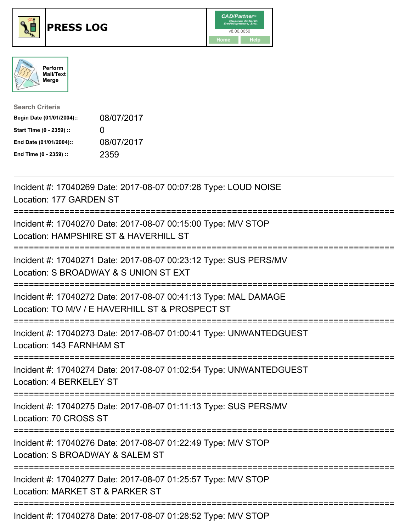





| <b>Search Criteria</b>    |                   |
|---------------------------|-------------------|
| Begin Date (01/01/2004):: | 08/07/2017        |
| Start Time (0 - 2359) ::  | $\mathbf{\Omega}$ |
| End Date (01/01/2004)::   | 08/07/2017        |
| End Time (0 - 2359) ::    | 2359              |

| Incident #: 17040269 Date: 2017-08-07 00:07:28 Type: LOUD NOISE<br>Location: 177 GARDEN ST                                                              |
|---------------------------------------------------------------------------------------------------------------------------------------------------------|
| Incident #: 17040270 Date: 2017-08-07 00:15:00 Type: M/V STOP<br>Location: HAMPSHIRE ST & HAVERHILL ST                                                  |
| Incident #: 17040271 Date: 2017-08-07 00:23:12 Type: SUS PERS/MV<br>Location: S BROADWAY & S UNION ST EXT<br>:=====================================     |
| Incident #: 17040272 Date: 2017-08-07 00:41:13 Type: MAL DAMAGE<br>Location: TO M/V / E HAVERHILL ST & PROSPECT ST<br>================================= |
| Incident #: 17040273 Date: 2017-08-07 01:00:41 Type: UNWANTEDGUEST<br>Location: 143 FARNHAM ST                                                          |
| Incident #: 17040274 Date: 2017-08-07 01:02:54 Type: UNWANTEDGUEST<br>Location: 4 BERKELEY ST                                                           |
| Incident #: 17040275 Date: 2017-08-07 01:11:13 Type: SUS PERS/MV<br>Location: 70 CROSS ST                                                               |
| Incident #: 17040276 Date: 2017-08-07 01:22:49 Type: M/V STOP<br>Location: S BROADWAY & SALEM ST                                                        |
| Incident #: 17040277 Date: 2017-08-07 01:25:57 Type: M/V STOP<br>Location: MARKET ST & PARKER ST                                                        |
| Incident #: 17040278 Date: 2017-08-07 01:28:52 Type: M/V STOP                                                                                           |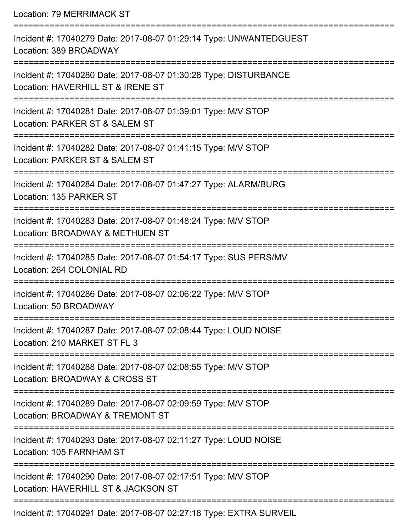Location: 79 MERRIMACK ST

| Incident #: 17040279 Date: 2017-08-07 01:29:14 Type: UNWANTEDGUEST<br>Location: 389 BROADWAY          |
|-------------------------------------------------------------------------------------------------------|
| Incident #: 17040280 Date: 2017-08-07 01:30:28 Type: DISTURBANCE<br>Location: HAVERHILL ST & IRENE ST |
| Incident #: 17040281 Date: 2017-08-07 01:39:01 Type: M/V STOP<br>Location: PARKER ST & SALEM ST       |
| Incident #: 17040282 Date: 2017-08-07 01:41:15 Type: M/V STOP<br>Location: PARKER ST & SALEM ST       |
| Incident #: 17040284 Date: 2017-08-07 01:47:27 Type: ALARM/BURG<br>Location: 135 PARKER ST            |
| Incident #: 17040283 Date: 2017-08-07 01:48:24 Type: M/V STOP<br>Location: BROADWAY & METHUEN ST      |
| Incident #: 17040285 Date: 2017-08-07 01:54:17 Type: SUS PERS/MV<br>Location: 264 COLONIAL RD         |
| Incident #: 17040286 Date: 2017-08-07 02:06:22 Type: M/V STOP<br>Location: 50 BROADWAY                |
| Incident #: 17040287 Date: 2017-08-07 02:08:44 Type: LOUD NOISE<br>Location: 210 MARKET ST FL 3       |
| Incident #: 17040288 Date: 2017-08-07 02:08:55 Type: M/V STOP<br>Location: BROADWAY & CROSS ST        |
| Incident #: 17040289 Date: 2017-08-07 02:09:59 Type: M/V STOP<br>Location: BROADWAY & TREMONT ST      |
| Incident #: 17040293 Date: 2017-08-07 02:11:27 Type: LOUD NOISE<br>Location: 105 FARNHAM ST           |
| Incident #: 17040290 Date: 2017-08-07 02:17:51 Type: M/V STOP<br>Location: HAVERHILL ST & JACKSON ST  |
| Incident #: 17040291 Date: 2017-08-07 02:27:18 Type: EXTRA SURVEIL                                    |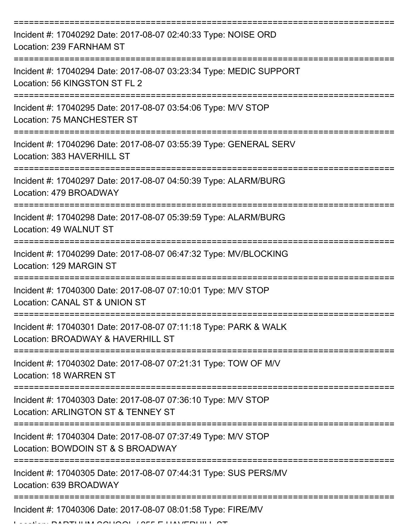| Incident #: 17040292 Date: 2017-08-07 02:40:33 Type: NOISE ORD<br>Location: 239 FARNHAM ST            |
|-------------------------------------------------------------------------------------------------------|
| Incident #: 17040294 Date: 2017-08-07 03:23:34 Type: MEDIC SUPPORT<br>Location: 56 KINGSTON ST FL 2   |
| Incident #: 17040295 Date: 2017-08-07 03:54:06 Type: M/V STOP<br>Location: 75 MANCHESTER ST           |
| Incident #: 17040296 Date: 2017-08-07 03:55:39 Type: GENERAL SERV<br>Location: 383 HAVERHILL ST       |
| Incident #: 17040297 Date: 2017-08-07 04:50:39 Type: ALARM/BURG<br>Location: 479 BROADWAY             |
| Incident #: 17040298 Date: 2017-08-07 05:39:59 Type: ALARM/BURG<br>Location: 49 WALNUT ST             |
| Incident #: 17040299 Date: 2017-08-07 06:47:32 Type: MV/BLOCKING<br>Location: 129 MARGIN ST           |
| Incident #: 17040300 Date: 2017-08-07 07:10:01 Type: M/V STOP<br>Location: CANAL ST & UNION ST        |
| Incident #: 17040301 Date: 2017-08-07 07:11:18 Type: PARK & WALK<br>Location: BROADWAY & HAVERHILL ST |
| Incident #: 17040302 Date: 2017-08-07 07:21:31 Type: TOW OF M/V<br>Location: 18 WARREN ST             |
| Incident #: 17040303 Date: 2017-08-07 07:36:10 Type: M/V STOP<br>Location: ARLINGTON ST & TENNEY ST   |
| Incident #: 17040304 Date: 2017-08-07 07:37:49 Type: M/V STOP<br>Location: BOWDOIN ST & S BROADWAY    |
| Incident #: 17040305 Date: 2017-08-07 07:44:31 Type: SUS PERS/MV<br>Location: 639 BROADWAY            |
| Incident #: 17040306 Date: 2017-08-07 08:01:58 Type: FIRE/MV                                          |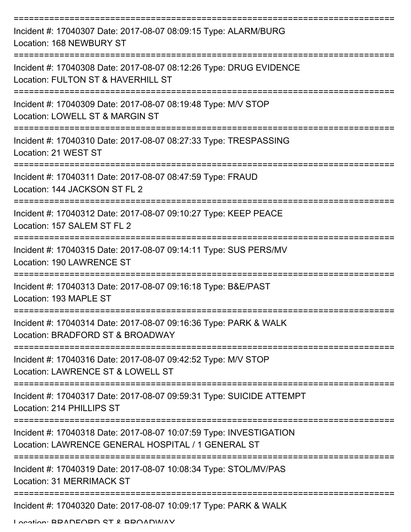| Incident #: 17040307 Date: 2017-08-07 08:09:15 Type: ALARM/BURG<br>Location: 168 NEWBURY ST                              |
|--------------------------------------------------------------------------------------------------------------------------|
| Incident #: 17040308 Date: 2017-08-07 08:12:26 Type: DRUG EVIDENCE<br>Location: FULTON ST & HAVERHILL ST                 |
| Incident #: 17040309 Date: 2017-08-07 08:19:48 Type: M/V STOP<br>Location: LOWELL ST & MARGIN ST                         |
| Incident #: 17040310 Date: 2017-08-07 08:27:33 Type: TRESPASSING<br>Location: 21 WEST ST                                 |
| Incident #: 17040311 Date: 2017-08-07 08:47:59 Type: FRAUD<br>Location: 144 JACKSON ST FL 2                              |
| Incident #: 17040312 Date: 2017-08-07 09:10:27 Type: KEEP PEACE<br>Location: 157 SALEM ST FL 2                           |
| Incident #: 17040315 Date: 2017-08-07 09:14:11 Type: SUS PERS/MV<br>Location: 190 LAWRENCE ST                            |
| Incident #: 17040313 Date: 2017-08-07 09:16:18 Type: B&E/PAST<br>Location: 193 MAPLE ST                                  |
| Incident #: 17040314 Date: 2017-08-07 09:16:36 Type: PARK & WALK<br>Location: BRADFORD ST & BROADWAY                     |
| Incident #: 17040316 Date: 2017-08-07 09:42:52 Type: M/V STOP<br>Location: LAWRENCE ST & LOWELL ST                       |
| Incident #: 17040317 Date: 2017-08-07 09:59:31 Type: SUICIDE ATTEMPT<br>Location: 214 PHILLIPS ST                        |
| Incident #: 17040318 Date: 2017-08-07 10:07:59 Type: INVESTIGATION<br>Location: LAWRENCE GENERAL HOSPITAL / 1 GENERAL ST |
| Incident #: 17040319 Date: 2017-08-07 10:08:34 Type: STOL/MV/PAS<br>Location: 31 MERRIMACK ST                            |
| Incident #: 17040320 Date: 2017-08-07 10:09:17 Type: PARK & WALK                                                         |

Location: BRADFORD ST & BROADWAY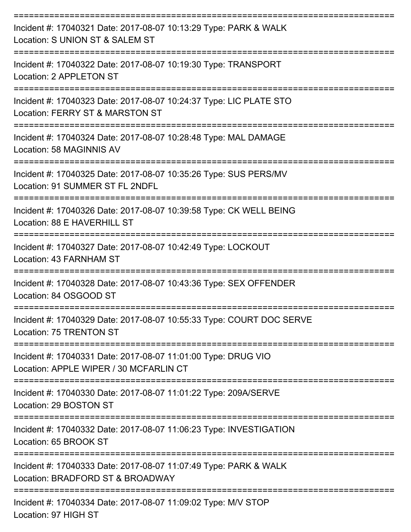| Incident #: 17040321 Date: 2017-08-07 10:13:29 Type: PARK & WALK<br>Location: S UNION ST & SALEM ST                  |
|----------------------------------------------------------------------------------------------------------------------|
| Incident #: 17040322 Date: 2017-08-07 10:19:30 Type: TRANSPORT<br>Location: 2 APPLETON ST                            |
| Incident #: 17040323 Date: 2017-08-07 10:24:37 Type: LIC PLATE STO<br>Location: FERRY ST & MARSTON ST                |
| Incident #: 17040324 Date: 2017-08-07 10:28:48 Type: MAL DAMAGE<br>Location: 58 MAGINNIS AV                          |
| Incident #: 17040325 Date: 2017-08-07 10:35:26 Type: SUS PERS/MV<br>Location: 91 SUMMER ST FL 2NDFL                  |
| Incident #: 17040326 Date: 2017-08-07 10:39:58 Type: CK WELL BEING<br>Location: 88 E HAVERHILL ST                    |
| Incident #: 17040327 Date: 2017-08-07 10:42:49 Type: LOCKOUT<br>Location: 43 FARNHAM ST                              |
| Incident #: 17040328 Date: 2017-08-07 10:43:36 Type: SEX OFFENDER<br>Location: 84 OSGOOD ST                          |
| Incident #: 17040329 Date: 2017-08-07 10:55:33 Type: COURT DOC SERVE<br>Location: 75 TRENTON ST<br>================= |
| Incident #: 17040331 Date: 2017-08-07 11:01:00 Type: DRUG VIO<br>Location: APPLE WIPER / 30 MCFARLIN CT              |
| Incident #: 17040330 Date: 2017-08-07 11:01:22 Type: 209A/SERVE<br>Location: 29 BOSTON ST                            |
| Incident #: 17040332 Date: 2017-08-07 11:06:23 Type: INVESTIGATION<br>Location: 65 BROOK ST                          |
| Incident #: 17040333 Date: 2017-08-07 11:07:49 Type: PARK & WALK<br>Location: BRADFORD ST & BROADWAY                 |
| Incident #: 17040334 Date: 2017-08-07 11:09:02 Type: M/V STOP                                                        |

Location: 97 HIGH ST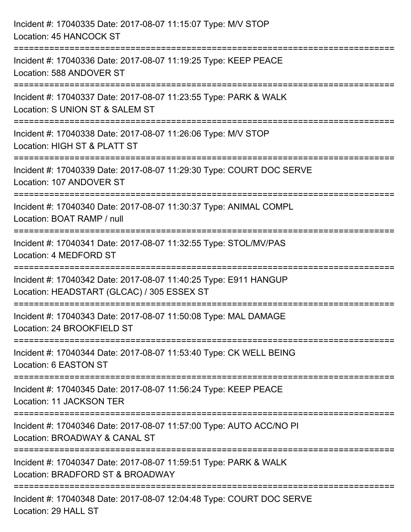| Incident #: 17040335 Date: 2017-08-07 11:15:07 Type: M/V STOP<br>Location: 45 HANCOCK ST                       |
|----------------------------------------------------------------------------------------------------------------|
| Incident #: 17040336 Date: 2017-08-07 11:19:25 Type: KEEP PEACE<br>Location: 588 ANDOVER ST                    |
| Incident #: 17040337 Date: 2017-08-07 11:23:55 Type: PARK & WALK<br>Location: S UNION ST & SALEM ST            |
| Incident #: 17040338 Date: 2017-08-07 11:26:06 Type: M/V STOP<br>Location: HIGH ST & PLATT ST                  |
| Incident #: 17040339 Date: 2017-08-07 11:29:30 Type: COURT DOC SERVE<br>Location: 107 ANDOVER ST               |
| Incident #: 17040340 Date: 2017-08-07 11:30:37 Type: ANIMAL COMPL<br>Location: BOAT RAMP / null                |
| Incident #: 17040341 Date: 2017-08-07 11:32:55 Type: STOL/MV/PAS<br>Location: 4 MEDFORD ST                     |
| Incident #: 17040342 Date: 2017-08-07 11:40:25 Type: E911 HANGUP<br>Location: HEADSTART (GLCAC) / 305 ESSEX ST |
| Incident #: 17040343 Date: 2017-08-07 11:50:08 Type: MAL DAMAGE<br>Location: 24 BROOKFIELD ST                  |
| Incident #: 17040344 Date: 2017-08-07 11:53:40 Type: CK WELL BEING<br>Location: 6 EASTON ST                    |
| Incident #: 17040345 Date: 2017-08-07 11:56:24 Type: KEEP PEACE<br>Location: 11 JACKSON TER                    |
| Incident #: 17040346 Date: 2017-08-07 11:57:00 Type: AUTO ACC/NO PI<br>Location: BROADWAY & CANAL ST           |
| Incident #: 17040347 Date: 2017-08-07 11:59:51 Type: PARK & WALK<br>Location: BRADFORD ST & BROADWAY           |
| Incident #: 17040348 Date: 2017-08-07 12:04:48 Type: COURT DOC SERVE<br>Location: 29 HALL ST                   |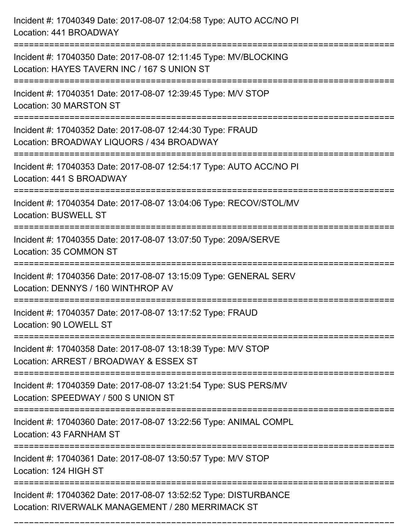Incident #: 17040349 Date: 2017-08-07 12:04:58 Type: AUTO ACC/NO PI Location: 441 BROADWAY =========================================================================== Incident #: 17040350 Date: 2017-08-07 12:11:45 Type: MV/BLOCKING Location: HAYES TAVERN INC / 167 S UNION ST =========================================================================== Incident #: 17040351 Date: 2017-08-07 12:39:45 Type: M/V STOP Location: 30 MARSTON ST =========================================================================== Incident #: 17040352 Date: 2017-08-07 12:44:30 Type: FRAUD Location: BROADWAY LIQUORS / 434 BROADWAY =========================================================================== Incident #: 17040353 Date: 2017-08-07 12:54:17 Type: AUTO ACC/NO PI Location: 441 S BROADWAY =========================================================================== Incident #: 17040354 Date: 2017-08-07 13:04:06 Type: RECOV/STOL/MV Location: BUSWELL ST =========================================================================== Incident #: 17040355 Date: 2017-08-07 13:07:50 Type: 209A/SERVE Location: 35 COMMON ST =========================================================================== Incident #: 17040356 Date: 2017-08-07 13:15:09 Type: GENERAL SERV Location: DENNYS / 160 WINTHROP AV =========================================================================== Incident #: 17040357 Date: 2017-08-07 13:17:52 Type: FRAUD Location: 90 LOWELL ST =========================================================================== Incident #: 17040358 Date: 2017-08-07 13:18:39 Type: M/V STOP Location: ARREST / BROADWAY & ESSEX ST =========================================================================== Incident #: 17040359 Date: 2017-08-07 13:21:54 Type: SUS PERS/MV Location: SPEEDWAY / 500 S UNION ST =========================================================================== Incident #: 17040360 Date: 2017-08-07 13:22:56 Type: ANIMAL COMPL Location: 43 FARNHAM ST =========================================================================== Incident #: 17040361 Date: 2017-08-07 13:50:57 Type: M/V STOP Location: 124 HIGH ST =========================================================================== Incident #: 17040362 Date: 2017-08-07 13:52:52 Type: DISTURBANCE Location: RIVERWALK MANAGEMENT / 280 MERRIMACK ST

===========================================================================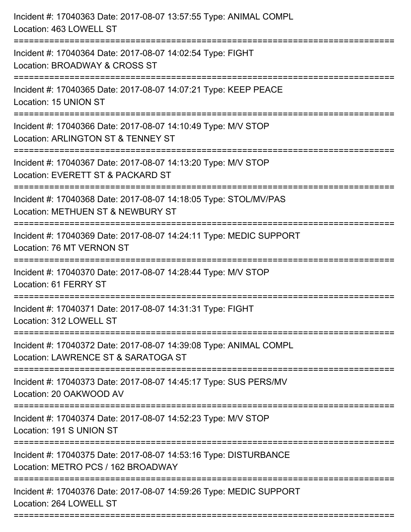| Incident #: 17040363 Date: 2017-08-07 13:57:55 Type: ANIMAL COMPL<br>Location: 463 LOWELL ST                                                                                  |
|-------------------------------------------------------------------------------------------------------------------------------------------------------------------------------|
| Incident #: 17040364 Date: 2017-08-07 14:02:54 Type: FIGHT<br>Location: BROADWAY & CROSS ST                                                                                   |
| Incident #: 17040365 Date: 2017-08-07 14:07:21 Type: KEEP PEACE<br>Location: 15 UNION ST                                                                                      |
| Incident #: 17040366 Date: 2017-08-07 14:10:49 Type: M/V STOP<br>Location: ARLINGTON ST & TENNEY ST                                                                           |
| Incident #: 17040367 Date: 2017-08-07 14:13:20 Type: M/V STOP<br>Location: EVERETT ST & PACKARD ST<br>==================================<br>================================= |
| Incident #: 17040368 Date: 2017-08-07 14:18:05 Type: STOL/MV/PAS<br>Location: METHUEN ST & NEWBURY ST<br>:======================                                              |
| Incident #: 17040369 Date: 2017-08-07 14:24:11 Type: MEDIC SUPPORT<br>Location: 76 MT VERNON ST                                                                               |
| Incident #: 17040370 Date: 2017-08-07 14:28:44 Type: M/V STOP<br>Location: 61 FERRY ST                                                                                        |
| Incident #: 17040371 Date: 2017-08-07 14:31:31 Type: FIGHT<br>Location: 312 LOWELL ST                                                                                         |
| Incident #: 17040372 Date: 2017-08-07 14:39:08 Type: ANIMAL COMPL<br>Location: LAWRENCE ST & SARATOGA ST                                                                      |
| Incident #: 17040373 Date: 2017-08-07 14:45:17 Type: SUS PERS/MV<br>Location: 20 OAKWOOD AV                                                                                   |
| Incident #: 17040374 Date: 2017-08-07 14:52:23 Type: M/V STOP<br>Location: 191 S UNION ST                                                                                     |
| Incident #: 17040375 Date: 2017-08-07 14:53:16 Type: DISTURBANCE<br>Location: METRO PCS / 162 BROADWAY                                                                        |
| Incident #: 17040376 Date: 2017-08-07 14:59:26 Type: MEDIC SUPPORT<br>Location: 264 LOWELL ST                                                                                 |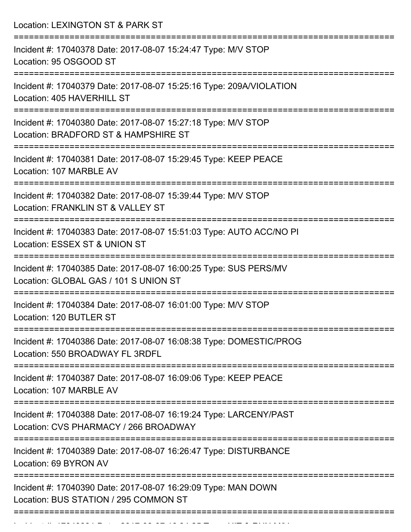Location: LEXINGTON ST & PARK ST =========================================================================== Incident #: 17040378 Date: 2017-08-07 15:24:47 Type: M/V STOP Location: 95 OSGOOD ST =========================================================================== Incident #: 17040379 Date: 2017-08-07 15:25:16 Type: 209A/VIOLATION Location: 405 HAVERHILL ST =========================================================================== Incident #: 17040380 Date: 2017-08-07 15:27:18 Type: M/V STOP Location: BRADFORD ST & HAMPSHIRE ST =========================================================================== Incident #: 17040381 Date: 2017-08-07 15:29:45 Type: KEEP PEACE Location: 107 MARBLE AV =========================================================================== Incident #: 17040382 Date: 2017-08-07 15:39:44 Type: M/V STOP Location: FRANKLIN ST & VALLEY ST =========================================================================== Incident #: 17040383 Date: 2017-08-07 15:51:03 Type: AUTO ACC/NO PI Location: ESSEX ST & UNION ST =========================================================================== Incident #: 17040385 Date: 2017-08-07 16:00:25 Type: SUS PERS/MV Location: GLOBAL GAS / 101 S UNION ST =========================================================================== Incident #: 17040384 Date: 2017-08-07 16:01:00 Type: M/V STOP Location: 120 BUTLER ST =========================================================================== Incident #: 17040386 Date: 2017-08-07 16:08:38 Type: DOMESTIC/PROG Location: 550 BROADWAY FL 3RDFL =========================================================================== Incident #: 17040387 Date: 2017-08-07 16:09:06 Type: KEEP PEACE Location: 107 MARBLE AV =========================================================================== Incident #: 17040388 Date: 2017-08-07 16:19:24 Type: LARCENY/PAST Location: CVS PHARMACY / 266 BROADWAY =========================================================================== Incident #: 17040389 Date: 2017-08-07 16:26:47 Type: DISTURBANCE Location: 69 BYRON AV =========================================================================== Incident #: 17040390 Date: 2017-08-07 16:29:09 Type: MAN DOWN Location: BUS STATION / 295 COMMON ST ===========================================================================

Incident #: 17040391 Date: 2017 08 07 16:34:25 Type: 17040391 Date: 2017 08 07 16:34:25 Type: 17040391 Date: 2<br>.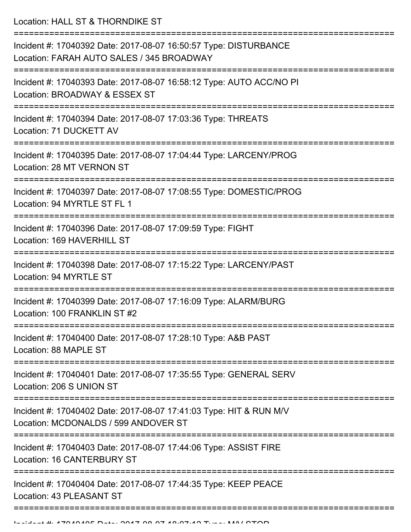Location: HALL ST & THORNDIKE ST

| Incident #: 17040392 Date: 2017-08-07 16:50:57 Type: DISTURBANCE<br>Location: FARAH AUTO SALES / 345 BROADWAY<br>======================== |
|-------------------------------------------------------------------------------------------------------------------------------------------|
| Incident #: 17040393 Date: 2017-08-07 16:58:12 Type: AUTO ACC/NO PI<br>Location: BROADWAY & ESSEX ST                                      |
| Incident #: 17040394 Date: 2017-08-07 17:03:36 Type: THREATS<br>Location: 71 DUCKETT AV                                                   |
| Incident #: 17040395 Date: 2017-08-07 17:04:44 Type: LARCENY/PROG<br>Location: 28 MT VERNON ST                                            |
| Incident #: 17040397 Date: 2017-08-07 17:08:55 Type: DOMESTIC/PROG<br>Location: 94 MYRTLE ST FL 1                                         |
| Incident #: 17040396 Date: 2017-08-07 17:09:59 Type: FIGHT<br>Location: 169 HAVERHILL ST                                                  |
| Incident #: 17040398 Date: 2017-08-07 17:15:22 Type: LARCENY/PAST<br>Location: 94 MYRTLE ST                                               |
| Incident #: 17040399 Date: 2017-08-07 17:16:09 Type: ALARM/BURG<br>Location: 100 FRANKLIN ST #2                                           |
| Incident #: 17040400 Date: 2017-08-07 17:28:10 Type: A&B PAST<br>Location: 88 MAPLE ST                                                    |
| Incident #: 17040401 Date: 2017-08-07 17:35:55 Type: GENERAL SERV<br>Location: 206 S UNION ST                                             |
| Incident #: 17040402 Date: 2017-08-07 17:41:03 Type: HIT & RUN M/V<br>Location: MCDONALDS / 599 ANDOVER ST                                |
| Incident #: 17040403 Date: 2017-08-07 17:44:06 Type: ASSIST FIRE<br>Location: 16 CANTERBURY ST                                            |
| Incident #: 17040404 Date: 2017-08-07 17:44:35 Type: KEEP PEACE<br>Location: 43 PLEASANT ST                                               |
|                                                                                                                                           |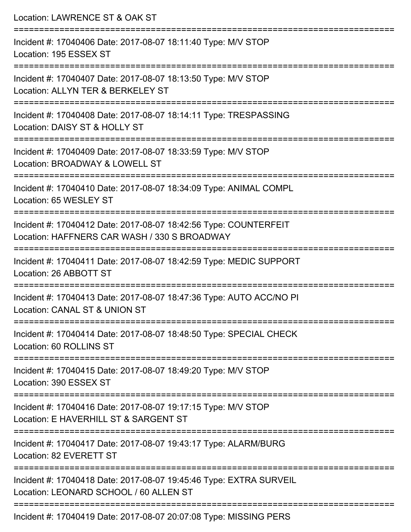| Location: LAWRENCE ST & OAK ST                                                                                           |
|--------------------------------------------------------------------------------------------------------------------------|
| Incident #: 17040406 Date: 2017-08-07 18:11:40 Type: M/V STOP<br>Location: 195 ESSEX ST                                  |
| Incident #: 17040407 Date: 2017-08-07 18:13:50 Type: M/V STOP<br>Location: ALLYN TER & BERKELEY ST                       |
| Incident #: 17040408 Date: 2017-08-07 18:14:11 Type: TRESPASSING<br>Location: DAISY ST & HOLLY ST                        |
| :====================<br>Incident #: 17040409 Date: 2017-08-07 18:33:59 Type: M/V STOP<br>Location: BROADWAY & LOWELL ST |
| Incident #: 17040410 Date: 2017-08-07 18:34:09 Type: ANIMAL COMPL<br>Location: 65 WESLEY ST                              |
| Incident #: 17040412 Date: 2017-08-07 18:42:56 Type: COUNTERFEIT<br>Location: HAFFNERS CAR WASH / 330 S BROADWAY         |
| Incident #: 17040411 Date: 2017-08-07 18:42:59 Type: MEDIC SUPPORT<br>Location: 26 ABBOTT ST                             |
| Incident #: 17040413 Date: 2017-08-07 18:47:36 Type: AUTO ACC/NO PI<br>Location: CANAL ST & UNION ST                     |
| Incident #: 17040414 Date: 2017-08-07 18:48:50 Type: SPECIAL CHECK<br>Location: 60 ROLLINS ST                            |
| Incident #: 17040415 Date: 2017-08-07 18:49:20 Type: M/V STOP<br>Location: 390 ESSEX ST                                  |
| Incident #: 17040416 Date: 2017-08-07 19:17:15 Type: M/V STOP<br>Location: E HAVERHILL ST & SARGENT ST                   |
| Incident #: 17040417 Date: 2017-08-07 19:43:17 Type: ALARM/BURG<br>Location: 82 EVERETT ST                               |
| Incident #: 17040418 Date: 2017-08-07 19:45:46 Type: EXTRA SURVEIL<br>Location: LEONARD SCHOOL / 60 ALLEN ST             |
| Incident #: 17040419 Date: 2017-08-07 20:07:08 Type: MISSING PERS                                                        |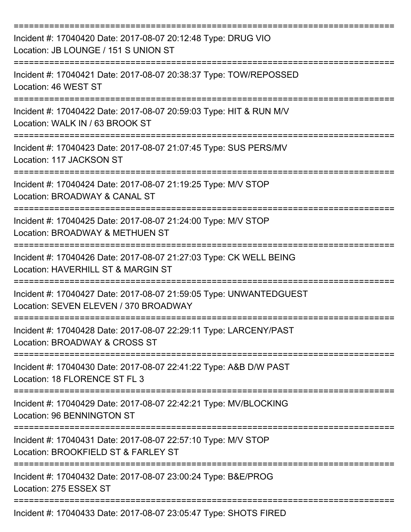| Incident #: 17040420 Date: 2017-08-07 20:12:48 Type: DRUG VIO<br>Location: JB LOUNGE / 151 S UNION ST       |
|-------------------------------------------------------------------------------------------------------------|
| Incident #: 17040421 Date: 2017-08-07 20:38:37 Type: TOW/REPOSSED<br>Location: 46 WEST ST                   |
| Incident #: 17040422 Date: 2017-08-07 20:59:03 Type: HIT & RUN M/V<br>Location: WALK IN / 63 BROOK ST       |
| Incident #: 17040423 Date: 2017-08-07 21:07:45 Type: SUS PERS/MV<br>Location: 117 JACKSON ST                |
| Incident #: 17040424 Date: 2017-08-07 21:19:25 Type: M/V STOP<br>Location: BROADWAY & CANAL ST              |
| Incident #: 17040425 Date: 2017-08-07 21:24:00 Type: M/V STOP<br>Location: BROADWAY & METHUEN ST            |
| Incident #: 17040426 Date: 2017-08-07 21:27:03 Type: CK WELL BEING<br>Location: HAVERHILL ST & MARGIN ST    |
| Incident #: 17040427 Date: 2017-08-07 21:59:05 Type: UNWANTEDGUEST<br>Location: SEVEN ELEVEN / 370 BROADWAY |
| Incident #: 17040428 Date: 2017-08-07 22:29:11 Type: LARCENY/PAST<br>Location: BROADWAY & CROSS ST          |
| Incident #: 17040430 Date: 2017-08-07 22:41:22 Type: A&B D/W PAST<br>Location: 18 FLORENCE ST FL 3          |
| Incident #: 17040429 Date: 2017-08-07 22:42:21 Type: MV/BLOCKING<br>Location: 96 BENNINGTON ST              |
| Incident #: 17040431 Date: 2017-08-07 22:57:10 Type: M/V STOP<br>Location: BROOKFIELD ST & FARLEY ST        |
| Incident #: 17040432 Date: 2017-08-07 23:00:24 Type: B&E/PROG<br>Location: 275 ESSEX ST                     |
| Incident #: 17040433 Date: 2017-08-07 23:05:47 Type: SHOTS FIRED                                            |